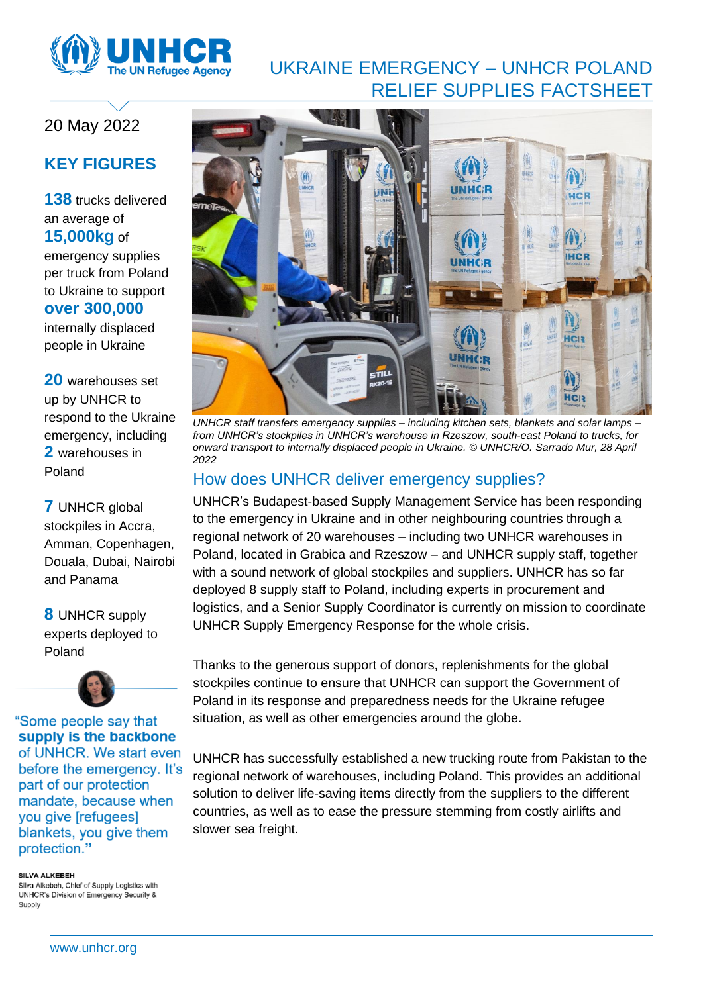

# UKRAINE EMERGENCY – UNHCR POLAND RELIEF SUPPLIES FACTSHEET

# 20 May 2022

# **KEY FIGURES**

**138** trucks delivered an average of **15,000kg** of emergency supplies per truck from Poland to Ukraine to support **over 300,000**

internally displaced people in Ukraine

**20** warehouses set up by UNHCR to respond to the Ukraine emergency, including **2** warehouses in Poland

**7** UNHCR global stockpiles in Accra, Amman, Copenhagen, Douala, Dubai, Nairobi and Panama

**8** UNHCR supply experts deployed to Poland



"Some people say that supply is the backbone of UNHCR. We start even before the emergency. It's part of our protection mandate, because when you give [refugees] blankets, you give them protection."

#### SILVA ALKEREH

Silva Alkebeh, Chief of Supply Logistics with UNHCR's Division of Emergency Security & Supply



*UNHCR staff transfers emergency supplies – including kitchen sets, blankets and solar lamps – from UNHCR's stockpiles in UNHCR's warehouse in Rzeszow, south-east Poland to trucks, for onward transport to internally displaced people in Ukraine. [© UNHCR/O.](https://eur02.safelinks.protection.outlook.com/?url=https%3A%2F%2Fmedia.unhcr.org%2FC.aspx%3FVP3%3DDamView%26KW_RID%3D2CZ7GWRHMEY3&data=05%7C01%7Ccorcoran%40unhcr.org%7Cee6e2d03f89c4bb147e208da26c31f0a%7Ce5c37981666441348a0c6543d2af80be%7C0%7C0%7C637864916719116089%7CUnknown%7CTWFpbGZsb3d8eyJWIjoiMC4wLjAwMDAiLCJQIjoiV2luMzIiLCJBTiI6Ik1haWwiLCJXVCI6Mn0%3D%7C3000%7C%7C%7C&sdata=Bwt9AKFmqkEeub%2FhMXeZ0nvrQmxReGQ%2FMPhct1ERf1U%3D&reserved=0) Sarrado Mur, 28 April 2022*

### How does UNHCR deliver emergency supplies?

UNHCR's Budapest-based Supply Management Service has been responding to the emergency in Ukraine and in other neighbouring countries through a regional network of 20 warehouses – including two UNHCR warehouses in Poland, located in Grabica and Rzeszow – and UNHCR supply staff, together with a sound network of global stockpiles and suppliers. UNHCR has so far deployed 8 supply staff to Poland, including experts in procurement and logistics, and a Senior Supply Coordinator is currently on mission to coordinate UNHCR Supply Emergency Response for the whole crisis.

Thanks to the generous support of donors, replenishments for the global stockpiles continue to ensure that UNHCR can support the Government of Poland in its response and preparedness needs for the Ukraine refugee situation, as well as other emergencies around the globe.

UNHCR has successfully established a new trucking route from Pakistan to the regional network of warehouses, including Poland. This provides an additional solution to deliver life-saving items directly from the suppliers to the different countries, as well as to ease the pressure stemming from costly airlifts and slower sea freight.